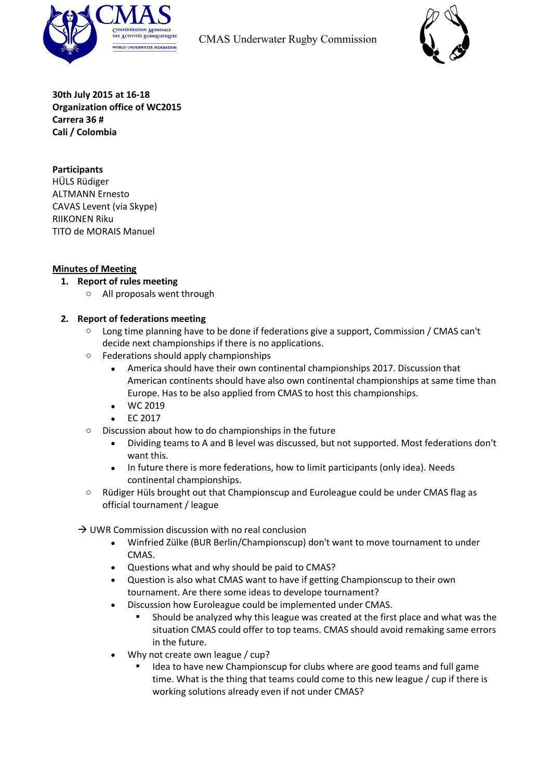



**30th July 2015 at 16-18 Organization office of WC2015 Carrera 36 # Cali / Colombia**

## **Participants**

HÜLS Rüdiger ALTMANN Ernesto CAVAS Levent (via Skype) RIIKONEN Riku TITO de MORAIS Manuel

#### **Minutes of Meeting**

- **1. Report of rules meeting**
	- o All proposals went through

#### **2. Report of federations meeting**

- o Long time planning have to be done if federations give a support, Commission / CMAS can't decide next championships if there is no applications.
- o Federations should apply championships
	- America should have their own continental championships 2017. Discussion that American continents should have also own continental championships at same time than Europe. Has to be also applied from CMAS to host this championships.
	- WC 2019
	- EC 2017
- o Discussion about how to do championships in the future
	- Dividing teams to A and B level was discussed, but not supported. Most federations don't want this.
	- In future there is more federations, how to limit participants (only idea). Needs continental championships.
- o Rüdiger Hüls brought out that Championscup and Euroleague could be under CMAS flag as official tournament / league

 $\rightarrow$  UWR Commission discussion with no real conclusion

- Winfried Zülke (BUR Berlin/Championscup) don't want to move tournament to under CMAS.
- Questions what and why should be paid to CMAS?
- Question is also what CMAS want to have if getting Championscup to their own tournament. Are there some ideas to develope tournament?
- Discussion how Euroleague could be implemented under CMAS.
	- Should be analyzed why this league was created at the first place and what was the situation CMAS could offer to top teams. CMAS should avoid remaking same errors in the future.
- Why not create own league / cup?
	- Idea to have new Championscup for clubs where are good teams and full game time. What is the thing that teams could come to this new league / cup if there is working solutions already even if not under CMAS?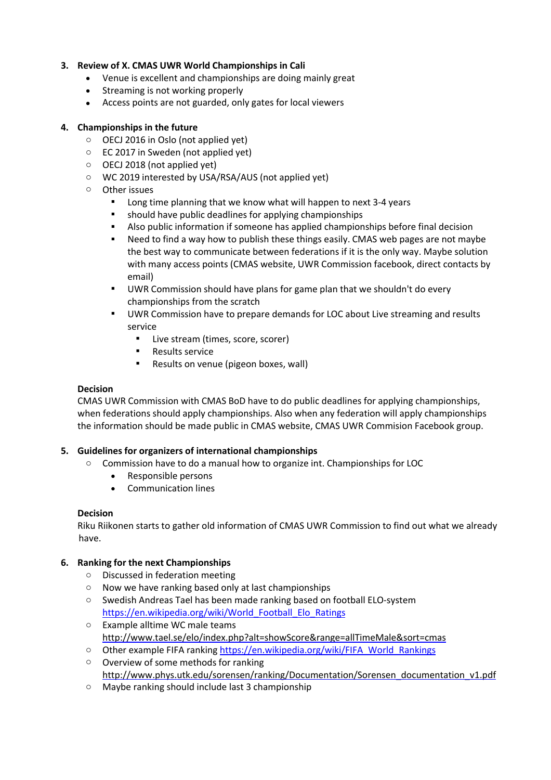# **3. Review of X. CMAS UWR World Championships in Cali**

- Venue is excellent and championships are doing mainly great
- Streaming is not working properly
- Access points are not guarded, only gates for local viewers

# **4. Championships in the future**

- o OECJ 2016 in Oslo (not applied yet)
- o EC 2017 in Sweden (not applied yet)
- o OECJ 2018 (not applied yet)
- o WC 2019 interested by USA/RSA/AUS (not applied yet)
- o Other issues
	- Long time planning that we know what will happen to next 3-4 years
	- should have public deadlines for applying championships
	- Also public information if someone has applied championships before final decision
	- Need to find a way how to publish these things easily. CMAS web pages are not maybe the best way to communicate between federations if it is the only way. Maybe solution with many access points (CMAS website, UWR Commission facebook, direct contacts by email)
	- **UWR Commission should have plans for game plan that we shouldn't do every** championships from the scratch
	- **UWR Commission have to prepare demands for LOC about Live streaming and results** service
		- **Live stream (times, score, scorer)**
		- **Results service**
		- **Results on venue (pigeon boxes, wall)**

## **Decision**

CMAS UWR Commission with CMAS BoD have to do public deadlines for applying championships, when federations should apply championships. Also when any federation will apply championships the information should be made public in CMAS website, CMAS UWR Commision Facebook group.

# **5. Guidelines for organizers of international championships**

- o Commission have to do a manual how to organize int. Championships for LOC
	- Responsible persons
	- Communication lines

# **Decision**

Riku Riikonen starts to gather old information of CMAS UWR Commission to find out what we already have.

# **6. Ranking for the next Championships**

- o Discussed in federation meeting
- o Now we have ranking based only at last championships
- o Swedish Andreas Tael has been made ranking based on football ELO-system https://en.wikipedia.org/wiki/World\_Football\_Elo\_Ratings
- o Example alltime WC male teams <http://www.tael.se/elo/index.php?alt=showScore&range=allTimeMale&sort=cmas>
- o Other example FIFA ranking https://en.wikipedia.org/wiki/FIFA\_World\_Rankings
- o Overview of some methods for ranking [http://www.phys.utk.edu/sorensen/ranking/Documentation/Sorensen\\_documentation\\_v1.pdf](http://www.phys.utk.edu/sorensen/ranking/Documentation/Sorensen_documentation_v1.pdf)
- o Maybe ranking should include last 3 championship